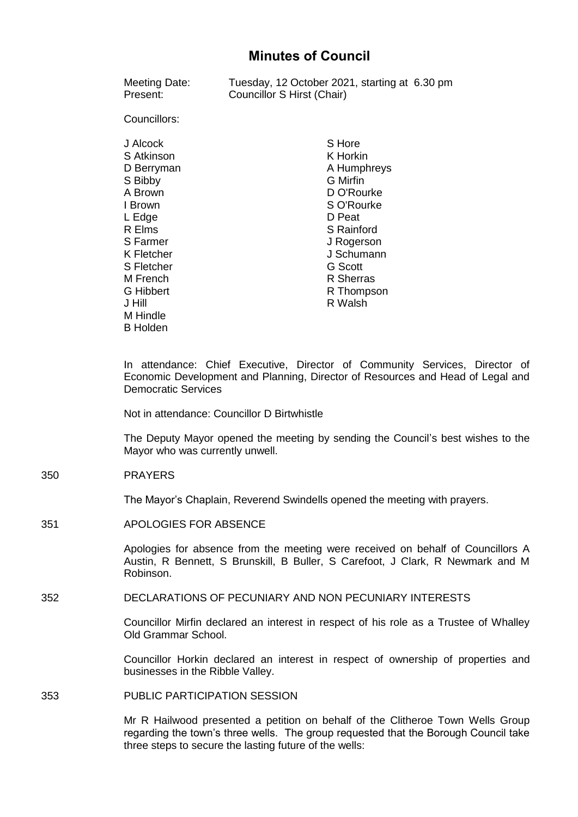# **Minutes of Council**

| Meeting Date:<br>Present:                                                                                                                                                                           | Tuesday, 12 October 2021, starting at 6.30 pm<br>Councillor S Hirst (Chair)                                                                                                                                |
|-----------------------------------------------------------------------------------------------------------------------------------------------------------------------------------------------------|------------------------------------------------------------------------------------------------------------------------------------------------------------------------------------------------------------|
| Councillors:                                                                                                                                                                                        |                                                                                                                                                                                                            |
| J Alcock<br>S Atkinson<br>D Berryman<br>S Bibby<br>A Brown<br>I Brown<br>L Edge<br>R Elms<br>S Farmer<br>K Fletcher<br>S Fletcher<br>M French<br>G Hibbert<br>J Hill<br>M Hindle<br><b>B</b> Holden | S Hore<br>K Horkin<br>A Humphreys<br><b>G</b> Mirfin<br>D O'Rourke<br>S O'Rourke<br>D Peat<br><b>S</b> Rainford<br>J Rogerson<br>J Schumann<br><b>G</b> Scott<br><b>R</b> Sherras<br>R Thompson<br>R Walsh |
|                                                                                                                                                                                                     |                                                                                                                                                                                                            |

In attendance: Chief Executive, Director of Community Services, Director of Economic Development and Planning, Director of Resources and Head of Legal and Democratic Services

Not in attendance: Councillor D Birtwhistle

The Deputy Mayor opened the meeting by sending the Council's best wishes to the Mayor who was currently unwell.

## 350 PRAYERS

The Mayor's Chaplain, Reverend Swindells opened the meeting with prayers.

#### 351 APOLOGIES FOR ABSENCE

Apologies for absence from the meeting were received on behalf of Councillors A Austin, R Bennett, S Brunskill, B Buller, S Carefoot, J Clark, R Newmark and M Robinson.

#### 352 DECLARATIONS OF PECUNIARY AND NON PECUNIARY INTERESTS

Councillor Mirfin declared an interest in respect of his role as a Trustee of Whalley Old Grammar School.

Councillor Horkin declared an interest in respect of ownership of properties and businesses in the Ribble Valley.

## 353 PUBLIC PARTICIPATION SESSION

Mr R Hailwood presented a petition on behalf of the Clitheroe Town Wells Group regarding the town's three wells. The group requested that the Borough Council take three steps to secure the lasting future of the wells: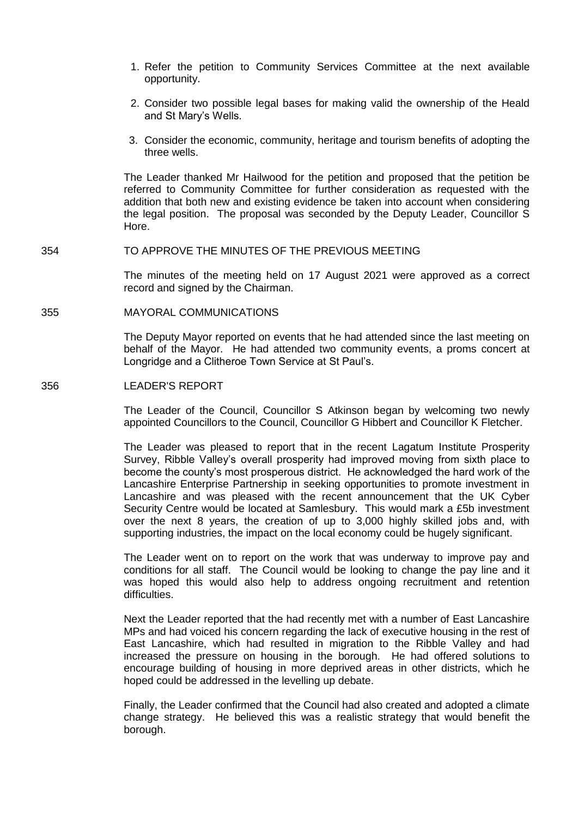- 1. Refer the petition to Community Services Committee at the next available opportunity.
- 2. Consider two possible legal bases for making valid the ownership of the Heald and St Mary's Wells.
- 3. Consider the economic, community, heritage and tourism benefits of adopting the three wells.

The Leader thanked Mr Hailwood for the petition and proposed that the petition be referred to Community Committee for further consideration as requested with the addition that both new and existing evidence be taken into account when considering the legal position. The proposal was seconded by the Deputy Leader, Councillor S Hore.

## 354 TO APPROVE THE MINUTES OF THE PREVIOUS MEETING

The minutes of the meeting held on 17 August 2021 were approved as a correct record and signed by the Chairman.

## 355 MAYORAL COMMUNICATIONS

The Deputy Mayor reported on events that he had attended since the last meeting on behalf of the Mayor. He had attended two community events, a proms concert at Longridge and a Clitheroe Town Service at St Paul's.

## 356 LEADER'S REPORT

The Leader of the Council, Councillor S Atkinson began by welcoming two newly appointed Councillors to the Council, Councillor G Hibbert and Councillor K Fletcher.

The Leader was pleased to report that in the recent Lagatum Institute Prosperity Survey, Ribble Valley's overall prosperity had improved moving from sixth place to become the county's most prosperous district. He acknowledged the hard work of the Lancashire Enterprise Partnership in seeking opportunities to promote investment in Lancashire and was pleased with the recent announcement that the UK Cyber Security Centre would be located at Samlesbury. This would mark a £5b investment over the next 8 years, the creation of up to 3,000 highly skilled jobs and, with supporting industries, the impact on the local economy could be hugely significant.

The Leader went on to report on the work that was underway to improve pay and conditions for all staff. The Council would be looking to change the pay line and it was hoped this would also help to address ongoing recruitment and retention difficulties.

Next the Leader reported that the had recently met with a number of East Lancashire MPs and had voiced his concern regarding the lack of executive housing in the rest of East Lancashire, which had resulted in migration to the Ribble Valley and had increased the pressure on housing in the borough. He had offered solutions to encourage building of housing in more deprived areas in other districts, which he hoped could be addressed in the levelling up debate.

Finally, the Leader confirmed that the Council had also created and adopted a climate change strategy. He believed this was a realistic strategy that would benefit the borough.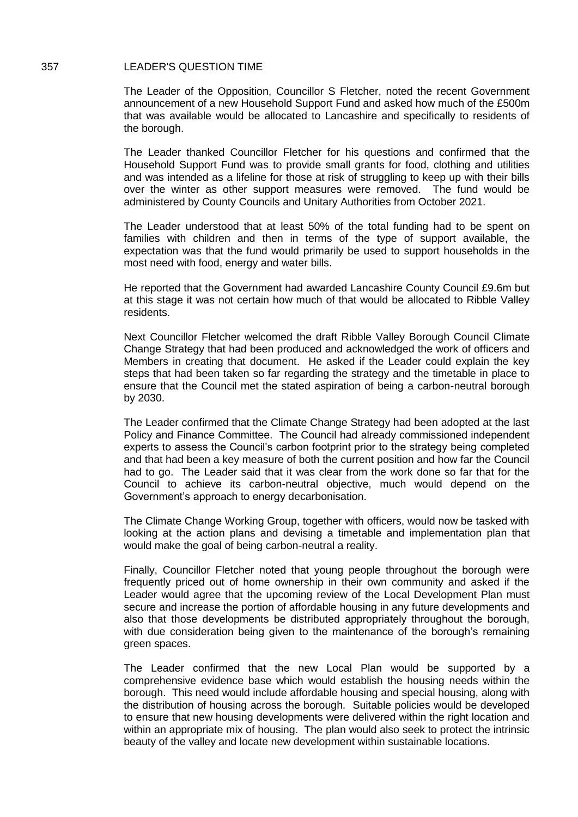#### 357 LEADER'S QUESTION TIME

The Leader of the Opposition, Councillor S Fletcher, noted the recent Government announcement of a new Household Support Fund and asked how much of the £500m that was available would be allocated to Lancashire and specifically to residents of the borough.

The Leader thanked Councillor Fletcher for his questions and confirmed that the Household Support Fund was to provide small grants for food, clothing and utilities and was intended as a lifeline for those at risk of struggling to keep up with their bills over the winter as other support measures were removed. The fund would be administered by County Councils and Unitary Authorities from October 2021.

The Leader understood that at least 50% of the total funding had to be spent on families with children and then in terms of the type of support available, the expectation was that the fund would primarily be used to support households in the most need with food, energy and water bills.

He reported that the Government had awarded Lancashire County Council £9.6m but at this stage it was not certain how much of that would be allocated to Ribble Valley residents.

Next Councillor Fletcher welcomed the draft Ribble Valley Borough Council Climate Change Strategy that had been produced and acknowledged the work of officers and Members in creating that document. He asked if the Leader could explain the key steps that had been taken so far regarding the strategy and the timetable in place to ensure that the Council met the stated aspiration of being a carbon-neutral borough by 2030.

The Leader confirmed that the Climate Change Strategy had been adopted at the last Policy and Finance Committee. The Council had already commissioned independent experts to assess the Council's carbon footprint prior to the strategy being completed and that had been a key measure of both the current position and how far the Council had to go. The Leader said that it was clear from the work done so far that for the Council to achieve its carbon-neutral objective, much would depend on the Government's approach to energy decarbonisation.

The Climate Change Working Group, together with officers, would now be tasked with looking at the action plans and devising a timetable and implementation plan that would make the goal of being carbon-neutral a reality.

Finally, Councillor Fletcher noted that young people throughout the borough were frequently priced out of home ownership in their own community and asked if the Leader would agree that the upcoming review of the Local Development Plan must secure and increase the portion of affordable housing in any future developments and also that those developments be distributed appropriately throughout the borough, with due consideration being given to the maintenance of the borough's remaining green spaces.

The Leader confirmed that the new Local Plan would be supported by a comprehensive evidence base which would establish the housing needs within the borough. This need would include affordable housing and special housing, along with the distribution of housing across the borough. Suitable policies would be developed to ensure that new housing developments were delivered within the right location and within an appropriate mix of housing. The plan would also seek to protect the intrinsic beauty of the valley and locate new development within sustainable locations.